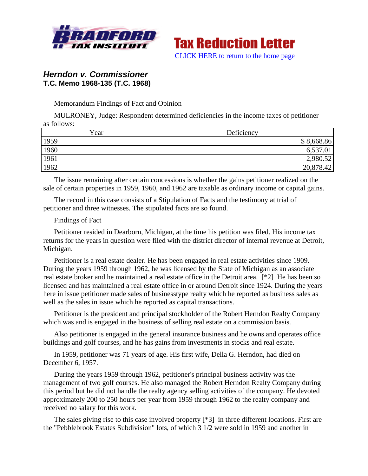



# *Herndon v. Commissioner*  **T.C. Memo 1968-135 (T.C. 1968)**

Memorandum Findings of Fact and Opinion

MULRONEY, Judge: Respondent determined deficiencies in the income taxes of petitioner as follows:

| Year | Deficiency |
|------|------------|
| 1959 | \$8,668.86 |
| 1960 | 6,537.01   |
| 1961 | 2,980.52   |
| 1962 | 20,878.42  |

The issue remaining after certain concessions is whether the gains petitioner realized on the sale of certain properties in 1959, 1960, and 1962 are taxable as ordinary income or capital gains.

The record in this case consists of a Stipulation of Facts and the testimony at trial of petitioner and three witnesses. The stipulated facts are so found.

## Findings of Fact

Petitioner resided in Dearborn, Michigan, at the time his petition was filed. His income tax returns for the years in question were filed with the district director of internal revenue at Detroit, Michigan.

Petitioner is a real estate dealer. He has been engaged in real estate activities since 1909. During the years 1959 through 1962, he was licensed by the State of Michigan as an associate real estate broker and he maintained a real estate office in the Detroit area. [\*2] He has been so licensed and has maintained a real estate office in or around Detroit since 1924. During the years here in issue petitioner made sales of businesstype realty which he reported as business sales as well as the sales in issue which he reported as capital transactions.

Petitioner is the president and principal stockholder of the Robert Herndon Realty Company which was and is engaged in the business of selling real estate on a commission basis.

Also petitioner is engaged in the general insurance business and he owns and operates office buildings and golf courses, and he has gains from investments in stocks and real estate.

In 1959, petitioner was 71 years of age. His first wife, Della G. Herndon, had died on December 6, 1957.

During the years 1959 through 1962, petitioner's principal business activity was the management of two golf courses. He also managed the Robert Herndon Realty Company during this period but he did not handle the realty agency selling activities of the company. He devoted approximately 200 to 250 hours per year from 1959 through 1962 to the realty company and received no salary for this work.

The sales giving rise to this case involved property [\*3] in three different locations. First are the "Pebblebrook Estates Subdivision" lots, of which 3 1/2 were sold in 1959 and another in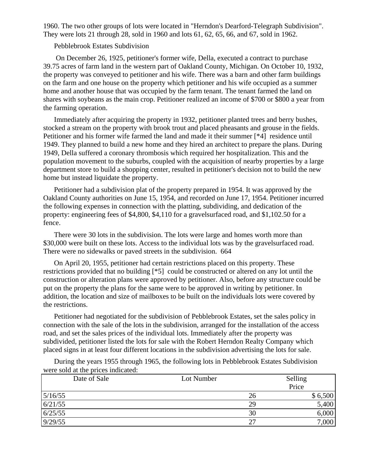1960. The two other groups of lots were located in "Herndon's Dearford-Telegraph Subdivision". They were lots 21 through 28, sold in 1960 and lots 61, 62, 65, 66, and 67, sold in 1962.

## Pebblebrook Estates Subdivision

 On December 26, 1925, petitioner's former wife, Della, executed a contract to purchase 39.75 acres of farm land in the western part of Oakland County, Michigan. On October 10, 1932, the property was conveyed to petitioner and his wife. There was a barn and other farm buildings on the farm and one house on the property which petitioner and his wife occupied as a summer home and another house that was occupied by the farm tenant. The tenant farmed the land on shares with soybeans as the main crop. Petitioner realized an income of \$700 or \$800 a year from the farming operation.

Immediately after acquiring the property in 1932, petitioner planted trees and berry bushes, stocked a stream on the property with brook trout and placed pheasants and grouse in the fields. Petitioner and his former wife farmed the land and made it their summer [\*4] residence until 1949. They planned to build a new home and they hired an architect to prepare the plans. During 1949, Della suffered a coronary thrombosis which required her hospitalization. This and the population movement to the suburbs, coupled with the acquisition of nearby properties by a large department store to build a shopping center, resulted in petitioner's decision not to build the new home but instead liquidate the property.

Petitioner had a subdivision plat of the property prepared in 1954. It was approved by the Oakland County authorities on June 15, 1954, and recorded on June 17, 1954. Petitioner incurred the following expenses in connection with the platting, subdividing, and dedication of the property: engineering fees of \$4,800, \$4,110 for a gravelsurfaced road, and \$1,102.50 for a fence.

There were 30 lots in the subdivision. The lots were large and homes worth more than \$30,000 were built on these lots. Access to the individual lots was by the gravelsurfaced road. There were no sidewalks or paved streets in the subdivision. 664

On April 20, 1955, petitioner had certain restrictions placed on this property. These restrictions provided that no building [\*5] could be constructed or altered on any lot until the construction or alteration plans were approved by petitioner. Also, before any structure could be put on the property the plans for the same were to be approved in writing by petitioner. In addition, the location and size of mailboxes to be built on the individuals lots were covered by the restrictions.

Petitioner had negotiated for the subdivision of Pebblebrook Estates, set the sales policy in connection with the sale of the lots in the subdivision, arranged for the installation of the access road, and set the sales prices of the individual lots. Immediately after the property was subdivided, petitioner listed the lots for sale with the Robert Herndon Realty Company which placed signs in at least four different locations in the subdivision advertising the lots for sale.

During the years 1955 through 1965, the following lots in Pebblebrook Estates Subdivision were sold at the prices indicated:

| Date of Sale | Lot Number |       | Selling |  |
|--------------|------------|-------|---------|--|
|              |            | Price |         |  |
| 5/16/55      |            | 26    | \$6,500 |  |
| 6/21/55      |            | 29    | 5,400   |  |
| 6/25/55      |            | 30    | 6,000   |  |
| 9/29/55      |            | 27    | 7,000   |  |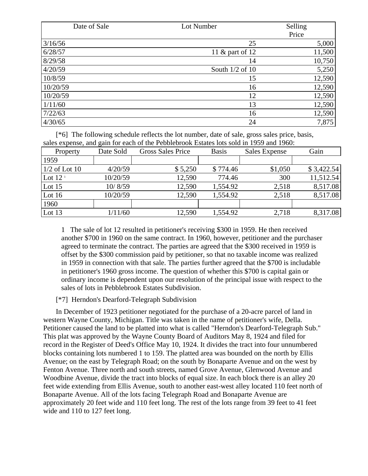| Date of Sale | Lot Number          | Selling |
|--------------|---------------------|---------|
|              |                     | Price   |
| 3/16/56      | 25                  | 5,000   |
| 6/28/57      | 11 & part of 12     | 11,500  |
| 8/29/58      | 14                  | 10,750  |
| 4/20/59      | South $1/2$ of $10$ | 5,250   |
| 10/8/59      | 15                  | 12,590  |
| 10/20/59     | 16                  | 12,590  |
| 10/20/59     | 12                  | 12,590  |
| 1/11/60      | 13                  | 12,590  |
| 7/22/63      | 16                  | 12,590  |
| 4/30/65      | 24                  | 7,875   |

 [\*6] The following schedule reflects the lot number, date of sale, gross sales price, basis, sales expense, and gain for each of the Pebblebrook Estates lots sold in 1959 and 1960:

| Property        | Date Sold | <b>Gross Sales Price</b> | <b>Basis</b> | Sales Expense | Gain       |
|-----------------|-----------|--------------------------|--------------|---------------|------------|
| 1959            |           |                          |              |               |            |
| $1/2$ of Lot 10 | 4/20/59   | \$5,250                  | \$774.46     | \$1,050       | \$3,422.54 |
| Lot $121$       | 10/20/59  | 12,590                   | 774.46       | 300           | 11,512.54  |
| Lot $15$        | 10/8/59   | 12,590                   | 1,554.92     | 2,518         | 8,517.08   |
| Lot $16$        | 10/20/59  | 12,590                   | 1,554.92     | 2,518         | 8,517.08   |
| 1960            |           |                          |              |               |            |
| Lot 13          | 1/11/60   | 12,590                   | 1,554.92     | 2,718         | 8,317.08   |

1 The sale of lot 12 resulted in petitioner's receiving \$300 in 1959. He then received another \$700 in 1960 on the same contract. In 1960, however, petitioner and the purchaser agreed to terminate the contract. The parties are agreed that the \$300 received in 1959 is offset by the \$300 commission paid by petitioner, so that no taxable income was realized in 1959 in connection with that sale. The parties further agreed that the \$700 is includable in petitioner's 1960 gross income. The question of whether this \$700 is capital gain or ordinary income is dependent upon our resolution of the principal issue with respect to the sales of lots in Pebblebrook Estates Subdivision.

# [\*7] Herndon's Dearford-Telegraph Subdivision

 In December of 1923 petitioner negotiated for the purchase of a 20-acre parcel of land in western Wayne County, Michigan. Title was taken in the name of petitioner's wife, Della. Petitioner caused the land to be platted into what is called "Herndon's Dearford-Telegraph Sub." This plat was approved by the Wayne County Board of Auditors May 8, 1924 and filed for record in the Register of Deed's Office May 10, 1924. It divides the tract into four unnumbered blocks containing lots numbered 1 to 159. The platted area was bounded on the north by Ellis Avenue; on the east by Telegraph Road; on the south by Bonaparte Avenue and on the west by Fenton Avenue. Three north and south streets, named Grove Avenue, Glenwood Avenue and Woodbine Avenue, divide the tract into blocks of equal size. In each block there is an alley 20 feet wide extending from Ellis Avenue, south to another east-west alley located 110 feet north of Bonaparte Avenue. All of the lots facing Telegraph Road and Bonaparte Avenue are approximately 20 feet wide and 110 feet long. The rest of the lots range from 39 feet to 41 feet wide and 110 to 127 feet long.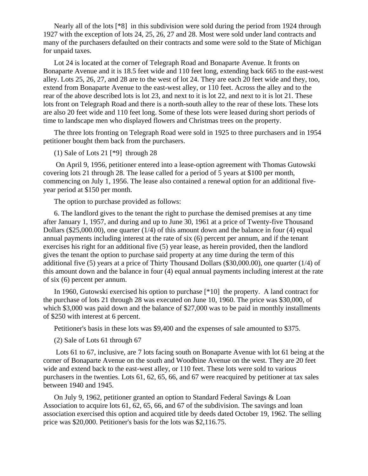Nearly all of the lots [\*8] in this subdivision were sold during the period from 1924 through 1927 with the exception of lots 24, 25, 26, 27 and 28. Most were sold under land contracts and many of the purchasers defaulted on their contracts and some were sold to the State of Michigan for unpaid taxes.

Lot 24 is located at the corner of Telegraph Road and Bonaparte Avenue. It fronts on Bonaparte Avenue and it is 18.5 feet wide and 110 feet long, extending back 665 to the east-west alley. Lots 25, 26, 27, and 28 are to the west of lot 24. They are each 20 feet wide and they, too, extend from Bonaparte Avenue to the east-west alley, or 110 feet. Across the alley and to the rear of the above described lots is lot 23, and next to it is lot 22, and next to it is lot 21. These lots front on Telegraph Road and there is a north-south alley to the rear of these lots. These lots are also 20 feet wide and 110 feet long. Some of these lots were leased during short periods of time to landscape men who displayed flowers and Christmas trees on the property.

The three lots fronting on Telegraph Road were sold in 1925 to three purchasers and in 1954 petitioner bought them back from the purchasers.

(1) Sale of Lots 21 [\*9] through 28

 On April 9, 1956, petitioner entered into a lease-option agreement with Thomas Gutowski covering lots 21 through 28. The lease called for a period of 5 years at \$100 per month, commencing on July 1, 1956. The lease also contained a renewal option for an additional fiveyear period at \$150 per month.

The option to purchase provided as follows:

6. The landlord gives to the tenant the right to purchase the demised premises at any time after January 1, 1957, and during and up to June 30, 1961 at a price of Twenty-five Thousand Dollars (\$25,000.00), one quarter  $(1/4)$  of this amount down and the balance in four (4) equal annual payments including interest at the rate of six (6) percent per annum, and if the tenant exercises his right for an additional five (5) year lease, as herein provided, then the landlord gives the tenant the option to purchase said property at any time during the term of this additional five (5) years at a price of Thirty Thousand Dollars (\$30,000.00), one quarter (1/4) of this amount down and the balance in four (4) equal annual payments including interest at the rate of six (6) percent per annum.

In 1960, Gutowski exercised his option to purchase [\*10] the property. A land contract for the purchase of lots 21 through 28 was executed on June 10, 1960. The price was \$30,000, of which \$3,000 was paid down and the balance of \$27,000 was to be paid in monthly installments of \$250 with interest at 6 percent.

Petitioner's basis in these lots was \$9,400 and the expenses of sale amounted to \$375.

(2) Sale of Lots 61 through 67

 Lots 61 to 67, inclusive, are 7 lots facing south on Bonaparte Avenue with lot 61 being at the corner of Bonaparte Avenue on the south and Woodbine Avenue on the west. They are 20 feet wide and extend back to the east-west alley, or 110 feet. These lots were sold to various purchasers in the twenties. Lots 61, 62, 65, 66, and 67 were reacquired by petitioner at tax sales between 1940 and 1945.

On July 9, 1962, petitioner granted an option to Standard Federal Savings & Loan Association to acquire lots 61, 62, 65, 66, and 67 of the subdivision. The savings and loan association exercised this option and acquired title by deeds dated October 19, 1962. The selling price was \$20,000. Petitioner's basis for the lots was \$2,116.75.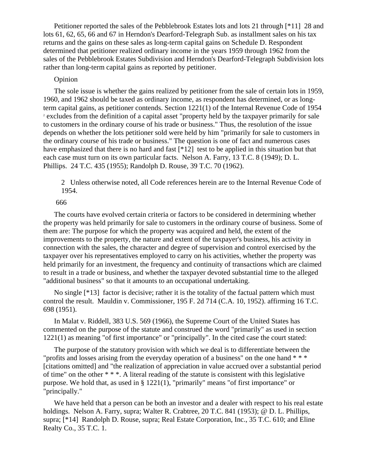Petitioner reported the sales of the Pebblebrook Estates lots and lots 21 through [\*11] 28 and lots 61, 62, 65, 66 and 67 in Herndon's Dearford-Telegraph Sub. as installment sales on his tax returns and the gains on these sales as long-term capital gains on Schedule D. Respondent determined that petitioner realized ordinary income in the years 1959 through 1962 from the sales of the Pebblebrook Estates Subdivision and Herndon's Dearford-Telegraph Subdivision lots rather than long-term capital gains as reported by petitioner.

### Opinion

The sole issue is whether the gains realized by petitioner from the sale of certain lots in 1959, 1960, and 1962 should be taxed as ordinary income, as respondent has determined, or as longterm capital gains, as petitioner contends. Section 1221(1) of the Internal Revenue Code of 1954 2 <sup>2</sup> excludes from the definition of a capital asset "property held by the taxpayer primarily for sale to customers in the ordinary course of his trade or business." Thus, the resolution of the issue depends on whether the lots petitioner sold were held by him "primarily for sale to customers in the ordinary course of his trade or business." The question is one of fact and numerous cases have emphasized that there is no hard and fast [\*12] test to be applied in this situation but that each case must turn on its own particular facts. Nelson A. Farry, 13 T.C. 8 (1949); D. L. Phillips. 24 T.C. 435 (1955); Randolph D. Rouse, 39 T.C. 70 (1962).

2 Unless otherwise noted, all Code references herein are to the Internal Revenue Code of 1954.

#### 666

The courts have evolved certain criteria or factors to be considered in determining whether the property was held primarily for sale to customers in the ordinary course of business. Some of them are: The purpose for which the property was acquired and held, the extent of the improvements to the property, the nature and extent of the taxpayer's business, his activity in connection with the sales, the character and degree of supervision and control exercised by the taxpayer over his representatives employed to carry on his activities, whether the property was held primarily for an investment, the frequency and continuity of transactions which are claimed to result in a trade or business, and whether the taxpayer devoted substantial time to the alleged "additional business" so that it amounts to an occupational undertaking.

No single [\*13] factor is decisive; rather it is the totality of the factual pattern which must control the result. Mauldin v. Commissioner, 195 F. 2d 714 (C.A. 10, 1952). affirming 16 T.C. 698 (1951).

In Malat v. Riddell, 383 U.S. 569 (1966), the Supreme Court of the United States has commented on the purpose of the statute and construed the word "primarily" as used in section 1221(1) as meaning "of first importance" or "principally". In the cited case the court stated:

The purpose of the statutory provision with which we deal is to differentiate between the "profits and losses arising from the everyday operation of a business" on the one hand \* \* \* [citations omitted] and "the realization of appreciation in value accrued over a substantial period of time" on the other \* \* \*. A literal reading of the statute is consistent with this legislative purpose. We hold that, as used in § 1221(1), "primarily" means "of first importance" or "principally."

We have held that a person can be both an investor and a dealer with respect to his real estate holdings. Nelson A. Farry, supra; Walter R. Crabtree, 20 T.C. 841 (1953); @ D. L. Phillips, supra; [\*14] Randolph D. Rouse, supra; Real Estate Corporation, Inc., 35 T.C. 610; and Eline Realty Co., 35 T.C. 1.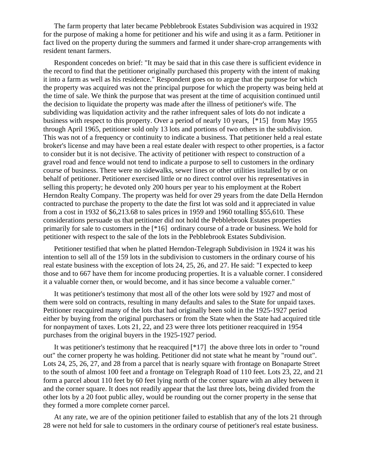The farm property that later became Pebblebrook Estates Subdivision was acquired in 1932 for the purpose of making a home for petitioner and his wife and using it as a farm. Petitioner in fact lived on the property during the summers and farmed it under share-crop arrangements with resident tenant farmers.

Respondent concedes on brief: "It may be said that in this case there is sufficient evidence in the record to find that the petitioner originally purchased this property with the intent of making it into a farm as well as his residence." Respondent goes on to argue that the purpose for which the property was acquired was not the principal purpose for which the property was being held at the time of sale. We think the purpose that was present at the time of acquisition continued until the decision to liquidate the property was made after the illness of petitioner's wife. The subdividing was liquidation activity and the rather infrequent sales of lots do not indicate a business with respect to this property. Over a period of nearly 10 years, [\*15] from May 1955 through April 1965, petitioner sold only 13 lots and portions of two others in the subdivision. This was not of a frequency or continuity to indicate a business. That petitioner held a real estate broker's license and may have been a real estate dealer with respect to other properties, is a factor to consider but it is not decisive. The activity of petitioner with respect to construction of a gravel road and fence would not tend to indicate a purpose to sell to customers in the ordinary course of business. There were no sidewalks, sewer lines or other utilities installed by or on behalf of petitioner. Petitioner exercised little or no direct control over his representatives in selling this property; he devoted only 200 hours per year to his employment at the Robert Herndon Realty Company. The property was held for over 29 years from the date Della Herndon contracted to purchase the property to the date the first lot was sold and it appreciated in value from a cost in 1932 of \$6,213.68 to sales prices in 1959 and 1960 totalling \$55,610. These considerations persuade us that petitioner did not hold the Pebblebrook Estates properties primarily for sale to customers in the [\*16] ordinary course of a trade or business. We hold for petitioner with respect to the sale of the lots in the Pebblebrook Estates Subdivision.

Petitioner testified that when he platted Herndon-Telegraph Subdivision in 1924 it was his intention to sell all of the 159 lots in the subdivision to customers in the ordinary course of his real estate business with the exception of lots 24, 25, 26, and 27. He said: "I expected to keep those and to 667 have them for income producing properties. It is a valuable corner. I considered it a valuable corner then, or would become, and it has since become a valuable corner."

It was petitioner's testimony that most all of the other lots were sold by 1927 and most of them were sold on contracts, resulting in many defaults and sales to the State for unpaid taxes. Petitioner reacquired many of the lots that had originally been sold in the 1925-1927 period either by buying from the original purchasers or from the State when the State had acquired title for nonpayment of taxes. Lots 21, 22, and 23 were three lots petitioner reacquired in 1954 purchases from the original buyers in the 1925-1927 period.

It was petitioner's testimony that he reacquired [\*17] the above three lots in order to "round out" the corner property he was holding. Petitioner did not state what he meant by "round out". Lots 24, 25, 26, 27, and 28 from a parcel that is nearly square with frontage on Bonaparte Street to the south of almost 100 feet and a frontage on Telegraph Road of 110 feet. Lots 23, 22, and 21 form a parcel about 110 feet by 60 feet lying north of the corner square with an alley between it and the corner square. It does not readily appear that the last three lots, being divided from the other lots by a 20 foot public alley, would be rounding out the corner property in the sense that they formed a more complete corner parcel.

At any rate, we are of the opinion petitioner failed to establish that any of the lots 21 through 28 were not held for sale to customers in the ordinary course of petitioner's real estate business.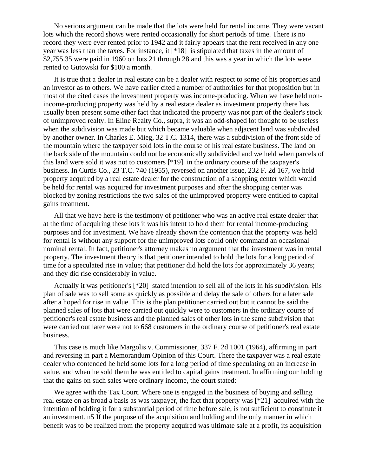No serious argument can be made that the lots were held for rental income. They were vacant lots which the record shows were rented occasionally for short periods of time. There is no record they were ever rented prior to 1942 and it fairly appears that the rent received in any one year was less than the taxes. For instance, it [\*18] is stipulated that taxes in the amount of \$2,755.35 were paid in 1960 on lots 21 through 28 and this was a year in which the lots were rented to Gutowski for \$100 a month.

It is true that a dealer in real estate can be a dealer with respect to some of his properties and an investor as to others. We have earlier cited a number of authorities for that proposition but in most of the cited cases the investment property was income-producing. When we have held nonincome-producing property was held by a real estate dealer as investment property there has usually been present some other fact that indicated the property was not part of the dealer's stock of unimproved realty. In Eline Realty Co., supra, it was an odd-shaped lot thought to be useless when the subdivision was made but which became valuable when adjacent land was subdivided by another owner. In Charles E. Mieg, 32 T.C. 1314, there was a subdivision of the front side of the mountain where the taxpayer sold lots in the course of his real estate business. The land on the back side of the mountain could not be economically subdivided and we held when parcels of this land were sold it was not to customers [\*19] in the ordinary course of the taxpayer's business. In Curtis Co., 23 T.C. 740 (1955), reversed on another issue, 232 F. 2d 167, we held property acquired by a real estate dealer for the construction of a shopping center which would be held for rental was acquired for investment purposes and after the shopping center was blocked by zoning restrictions the two sales of the unimproved property were entitled to capital gains treatment.

All that we have here is the testimony of petitioner who was an active real estate dealer that at the time of acquiring these lots it was his intent to hold them for rental income-producing purposes and for investment. We have already shown the contention that the property was held for rental is without any support for the unimproved lots could only command an occasional nominal rental. In fact, petitioner's attorney makes no argument that the investment was in rental property. The investment theory is that petitioner intended to hold the lots for a long period of time for a speculated rise in value; that petitioner did hold the lots for approximately 36 years; and they did rise considerably in value.

Actually it was petitioner's [\*20] stated intention to sell all of the lots in his subdivision. His plan of sale was to sell some as quickly as possible and delay the sale of others for a later sale after a hoped for rise in value. This is the plan petitioner carried out but it cannot be said the planned sales of lots that were carried out quickly were to customers in the ordinary course of petitioner's real estate business and the planned sales of other lots in the same subdivision that were carried out later were not to 668 customers in the ordinary course of petitioner's real estate business.

This case is much like Margolis v. Commissioner, 337 F. 2d 1001 (1964), affirming in part and reversing in part a Memorandum Opinion of this Court. There the taxpayer was a real estate dealer who contended he held some lots for a long period of time speculating on an increase in value, and when he sold them he was entitled to capital gains treatment. In affirming our holding that the gains on such sales were ordinary income, the court stated:

We agree with the Tax Court. Where one is engaged in the business of buying and selling real estate on as broad a basis as was taxpayer, the fact that property was [\*21] acquired with the intention of holding it for a substantial period of time before sale, is not sufficient to constitute it an investment. n5 If the purpose of the acquisition and holding and the only manner in which benefit was to be realized from the property acquired was ultimate sale at a profit, its acquisition